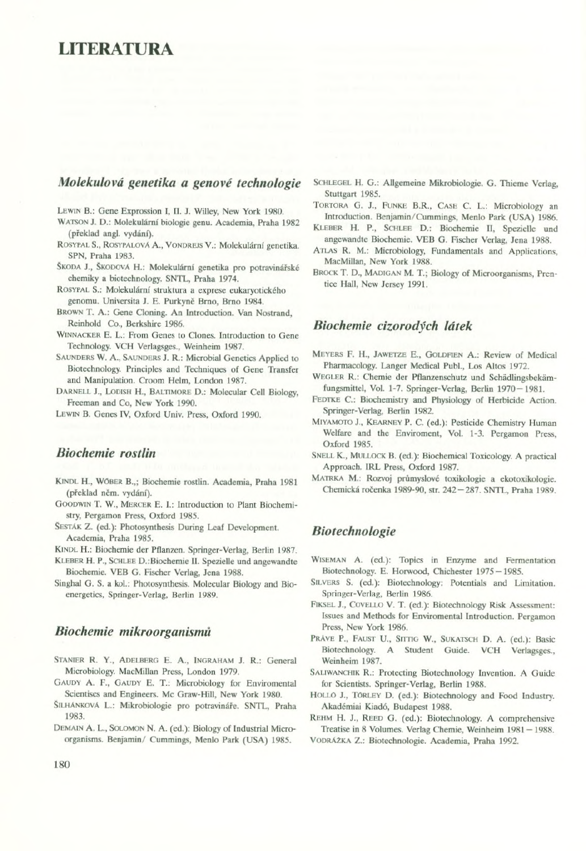# LITERATURA

## *Molekulová genetika a genové technologie*

LEWIN B.: Gene Exprossion I, II. J. Willey, New York 1980.

Watson J. D.: Molekulární biologie genu. Academia, Praha 1982 (překlad angl. vydání).

- RosypalS., RosypalovA A., Vondrejs V.: Molekulární genetika. SPN, Praha 1983.
- Škoda J., Škodová H.: Molekulární genetika pro potravinářské chemiky a biotechnology. SNTL, Praha 1974.

Rosypal S.: Molekulární struktura a exprese eukaryotického genomu. Universita J. E. Purkyně Brno, Brno 1984.

- Brown T. A.: Gene Cloning. An Introduction. Van Nostrand, Reinhold Co., Berkshire 1986.
- WINNACKER E. L.: From Genes to Clones. Introduction to Gene Technology. VCH Verlagsges., Weinheim 1987.
- SAUNDERS W. A., SAUNDERS J. R.: Microbial Genetics Applied to Biotechnology. Principles and Techniques of Gene Transfer and Manipulation. Croom Helm, London 1987.

DARNELL J., LODISH H., BALTIMORE D.: Molecular Cell Biology, Freeman and Co, New York 1990.

Lewin B. Genes IV, Oxford Univ. Press, Oxford 1990.

## *Biochemie rostlin*

- Kindl H., Wöber B.,; Biochemie rostlin. Academia. Praha 1981 (překlad nčm. vydání).
- Goodwin T. W., Mercer E. I.: Introduction to Plant Biochemistry, Pergamon Press, Oxford 1985.
- SESTAK Z. (ed.): Photosynthesis During Leaf Development. Academia, Praha 1985.

KINDL H.: Biochemie der Pflanzen. Springer-Verlag, Berlin 1987.

- Kleber H. P., Schlee D.:Biochemie II. Spezielle und angewandte Biochemie. VEB G. Fischer Verlag, Jena 1988.
- Singhai G. S. a kol.: Photosynthesis. Molecular Biology and Bioenergetics, Springer-Verlag, Berlin 1989.

#### *Biochemie mikroorganismů*

- STANIER R. Y., ADELBERG E. A., INGRAHAM J. R.: General Microbiology. MacMillan Press, London 1979.
- GAUDY A. F., GAUDY E. T.: Microbiology for Enviromental Scientiscs and Engineers. Me Graw-Hill, New York 1980.
- SilhAnkovA L.: Mikrobiologie pro potravináře. SNTL, Praha 1983.
- Demain A. L., Solomon N. A. (ed.): Biology of Industrial Microorganisms. Benjamin/ Cummings, Menlo Park (USA) 1985.

SCHLEGEL H. G.: Allgemeine Mikrobiologie. G. Thieme Verlag, Stuttgart 1985.

- TORTORA G. J., FUNKE B.R., CASE C. L.: Microbiology an Introduction. Benjamin/Cummings, Menlo Park (USA) 1986.
- KLEBER H. P., SCHLEE D.: Biochemie II, Spezielle und angewandte Biochemie. VEB G. Fischer Verlag, Jena 1988.
- ATLAS R. M.: Microbiology, Fundamentals and Applications, MacMillan, New York 1988.
- Brock T. D., Madigan M. T.; Biology of Microorganisms, Prentice Hall, New Jersey 1991.

#### *Biochemie cizorodých látek*

- MEYERS F. H., JAWETZE E., GOLDFIEN A.: Review of Medical Pharmacology. Langer Medical Pubi., Los Altos 1972.
- WEGLER R.: Chemie der Pflanzenschutz und Schädlingsbekämfungsmittel, Vol. 1-7. Springer-Verlag, Berlin 1970 - 1981.
- FEDTKE C.: Biochemistry and Physiology of Herbicide Action. Springer-Verlag, Berlin 1982.
- Miyamoto J., Kearney P. C. (ed.): Pesticide Chemistry Human Welfare and the Enviroment, Vol. 1-3. Pergamon Press, Oxford 1985.
- Snell K., Mullock B. (ed.): Biochemical Toxicology. A practical Approach. 1RL Press, Oxford 1987.
- Matrka M.: Rozvoj průmyslové toxikologie a ekotoxikologie. Chemická ročenka 1989-90, str. 242-287. SNTL, Praha 1989.

## *Biotechnologie*

- Wiseman A. (ed.): Topics in Enzyme and Fermentation Biotechnology. E. Horwood, Chichester 1975—1985.
- SILVERS S. (ed.): Biotechnology: Potentials and Limitation. Springer-Verlag, Berlin 1986.
- Piksel J., Covello V. T. (ed.): Biotechnology Risk Assessment: Issues and Methods for Enviromental Introduction. Pergamon Press, New York 1986.
- PRAVE P., FAUST U., SITTIG W., SUKATSCH D. A. (ed.): Basic Biotechnology. A Student Guide. VCH Verlagsges., Weinheim 1987.
- SALIWANCHIK R.: Protecting Biotechnology Invention. A Guide for Scientists. Springer-Verlag, Berlin 1988.
- HOLLÓ J., TÓRLEY D. (ed.): Biotechnology and Food Industry. Akadémia! Kiadó, Budapest 1988.

REHM H. J., REED G. (ed.): Biotechnology. A comprehensive Treatise in 8 Volumes. Verlag Chemie, Weinheim 1981 — 1988.

VodräZka Z.: Biotechnologie. Academia, Praha 1992.